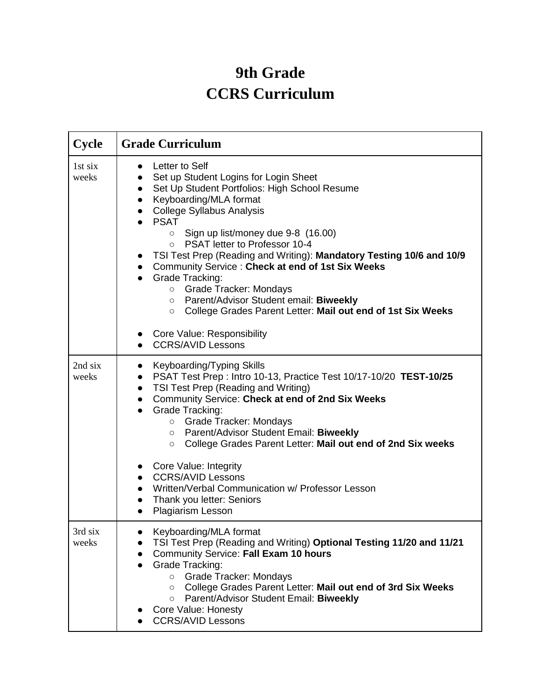## **9th Grade CCRS Curriculum**

| <b>Cycle</b>     | <b>Grade Curriculum</b>                                                                                                                                                                                                                                                                                                                                                                                                                                                                                                                                                                                                                                                                        |
|------------------|------------------------------------------------------------------------------------------------------------------------------------------------------------------------------------------------------------------------------------------------------------------------------------------------------------------------------------------------------------------------------------------------------------------------------------------------------------------------------------------------------------------------------------------------------------------------------------------------------------------------------------------------------------------------------------------------|
| 1st six<br>weeks | Letter to Self<br>$\bullet$<br>Set up Student Logins for Login Sheet<br>Set Up Student Portfolios: High School Resume<br>$\bullet$<br>Keyboarding/MLA format<br>$\bullet$<br>• College Syllabus Analysis<br><b>PSAT</b><br>Sign up list/money due 9-8 (16.00)<br>$\circ$<br>PSAT letter to Professor 10-4<br>$\circ$<br>TSI Test Prep (Reading and Writing): Mandatory Testing 10/6 and 10/9<br>Community Service : Check at end of 1st Six Weeks<br><b>Grade Tracking:</b><br>○ Grade Tracker: Mondays<br>o Parent/Advisor Student email: Biweekly<br>College Grades Parent Letter: Mail out end of 1st Six Weeks<br>$\circ$<br><b>Core Value: Responsibility</b><br><b>CCRS/AVID Lessons</b> |
| 2nd six<br>weeks | Keyboarding/Typing Skills<br>$\bullet$<br>PSAT Test Prep : Intro 10-13, Practice Test 10/17-10/20 TEST-10/25<br>$\bullet$<br>TSI Test Prep (Reading and Writing)<br>$\bullet$<br>Community Service: Check at end of 2nd Six Weeks<br>$\bullet$<br><b>Grade Tracking:</b><br>$\bullet$<br>○ Grade Tracker: Mondays<br>Parent/Advisor Student Email: Biweekly<br>$\circ$<br>College Grades Parent Letter: Mail out end of 2nd Six weeks<br>$\circ$<br>Core Value: Integrity<br><b>CCRS/AVID Lessons</b><br>Written/Verbal Communication w/ Professor Lesson<br>Thank you letter: Seniors<br>Plagiarism Lesson                                                                                    |
| 3rd six<br>weeks | Keyboarding/MLA format<br>TSI Test Prep (Reading and Writing) Optional Testing 11/20 and 11/21<br>Community Service: Fall Exam 10 hours<br>$\bullet$<br>Grade Tracking:<br>Grade Tracker: Mondays<br>$\circ$<br>College Grades Parent Letter: Mail out end of 3rd Six Weeks<br>$\circ$<br>Parent/Advisor Student Email: Biweekly<br>$\circ$<br>Core Value: Honesty<br><b>CCRS/AVID Lessons</b>                                                                                                                                                                                                                                                                                                 |